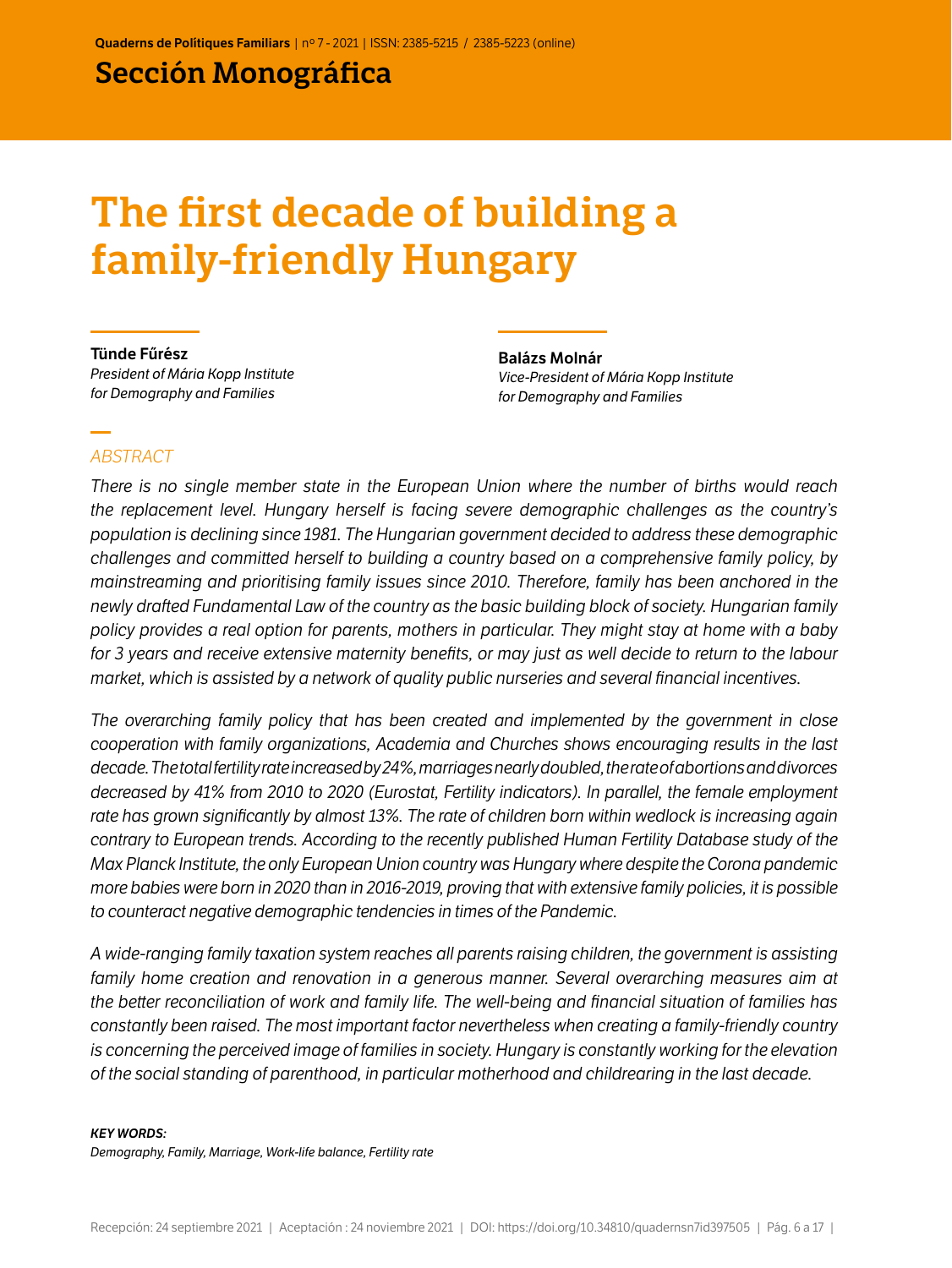# Sección Monográfica

# The first decade of building a family-friendly Hungary

Tünde Fűrész *President of Mária Kopp Institute for Demography and Families*

Balázs Molnár *Vice-President of Mária Kopp Institute for Demography and Families*

#### *ABSTRACT*

*There is no single member state in the European Union where the number of births would reach the replacement level. Hungary herself is facing severe demographic challenges as the country's population is declining since 1981. The Hungarian government decided to address these demographic challenges and committed herself to building a country based on a comprehensive family policy, by mainstreaming and prioritising family issues since 2010. Therefore, family has been anchored in the newly drafted Fundamental Law of the country as the basic building block of society. Hungarian family policy provides a real option for parents, mothers in particular. They might stay at home with a baby for 3 years and receive extensive maternity benefits, or may just as well decide to return to the labour market, which is assisted by a network of quality public nurseries and several financial incentives.* 

*The overarching family policy that has been created and implemented by the government in close cooperation with family organizations, Academia and Churches shows encouraging results in the last decade. The total fertility rate increased by 24%, marriages nearly doubled, the rate of abortions and divorces decreased by 41% from 2010 to 2020 (Eurostat, Fertility indicators). In parallel, the female employment rate has grown significantly by almost 13%. The rate of children born within wedlock is increasing again contrary to European trends. According to the recently published Human Fertility Database study of the Max Planck Institute, the only European Union country was Hungary where despite the Corona pandemic more babies were born in 2020 than in 2016-2019, proving that with extensive family policies, it is possible to counteract negative demographic tendencies in times of the Pandemic.*

*A wide-ranging family taxation system reaches all parents raising children, the government is assisting family home creation and renovation in a generous manner. Several overarching measures aim at the better reconciliation of work and family life. The well-being and financial situation of families has constantly been raised. The most important factor nevertheless when creating a family-friendly country is concerning the perceived image of families in society. Hungary is constantly working for the elevation of the social standing of parenthood, in particular motherhood and childrearing in the last decade.*

#### *KEY WORDS:*

*Demography, Family, Marriage, Work-life balance, Fertility rate*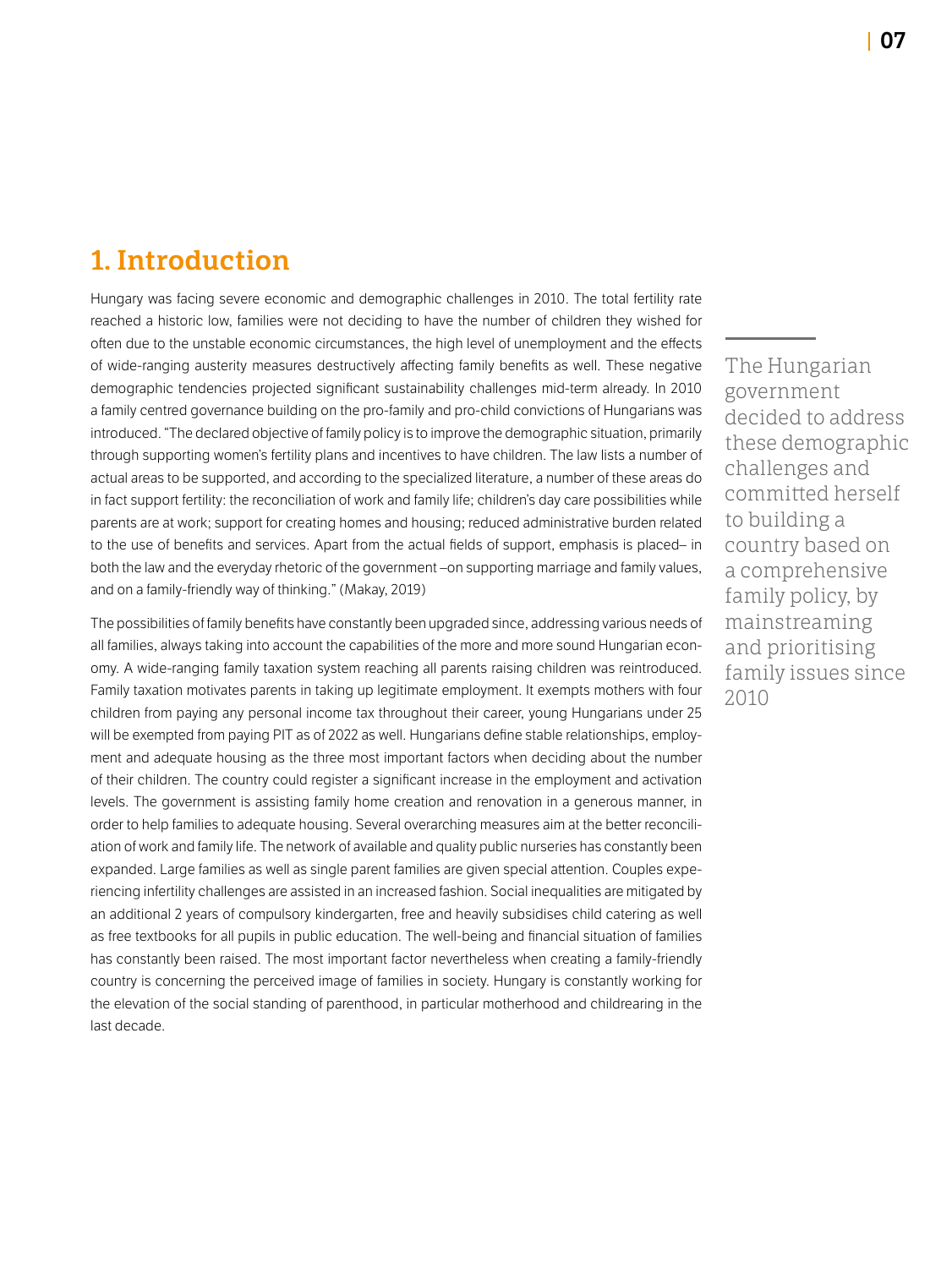# 1. Introduction

Hungary was facing severe economic and demographic challenges in 2010. The total fertility rate reached a historic low, families were not deciding to have the number of children they wished for often due to the unstable economic circumstances, the high level of unemployment and the effects of wide-ranging austerity measures destructively affecting family benefits as well. These negative demographic tendencies projected significant sustainability challenges mid-term already. In 2010 a family centred governance building on the pro-family and pro-child convictions of Hungarians was introduced. "The declared objective of family policy is to improve the demographic situation, primarily through supporting women's fertility plans and incentives to have children. The law lists a number of actual areas to be supported, and according to the specialized literature, a number of these areas do in fact support fertility: the reconciliation of work and family life; children's day care possibilities while parents are at work; support for creating homes and housing; reduced administrative burden related to the use of benefits and services. Apart from the actual fields of support, emphasis is placed– in both the law and the everyday rhetoric of the government –on supporting marriage and family values, and on a family-friendly way of thinking." (Makay, 2019)

The possibilities of family benefits have constantly been upgraded since, addressing various needs of all families, always taking into account the capabilities of the more and more sound Hungarian economy. A wide-ranging family taxation system reaching all parents raising children was reintroduced. Family taxation motivates parents in taking up legitimate employment. It exempts mothers with four children from paying any personal income tax throughout their career, young Hungarians under 25 will be exempted from paying PIT as of 2022 as well. Hungarians define stable relationships, employment and adequate housing as the three most important factors when deciding about the number of their children. The country could register a significant increase in the employment and activation levels. The government is assisting family home creation and renovation in a generous manner, in order to help families to adequate housing. Several overarching measures aim at the better reconciliation of work and family life. The network of available and quality public nurseries has constantly been expanded. Large families as well as single parent families are given special attention. Couples experiencing infertility challenges are assisted in an increased fashion. Social inequalities are mitigated by an additional 2 years of compulsory kindergarten, free and heavily subsidises child catering as well as free textbooks for all pupils in public education. The well-being and financial situation of families has constantly been raised. The most important factor nevertheless when creating a family-friendly country is concerning the perceived image of families in society. Hungary is constantly working for the elevation of the social standing of parenthood, in particular motherhood and childrearing in the last decade.

The Hungarian government decided to address these demographic challenges and committed herself to building a country based on a comprehensive family policy, by mainstreaming and prioritising family issues since 2010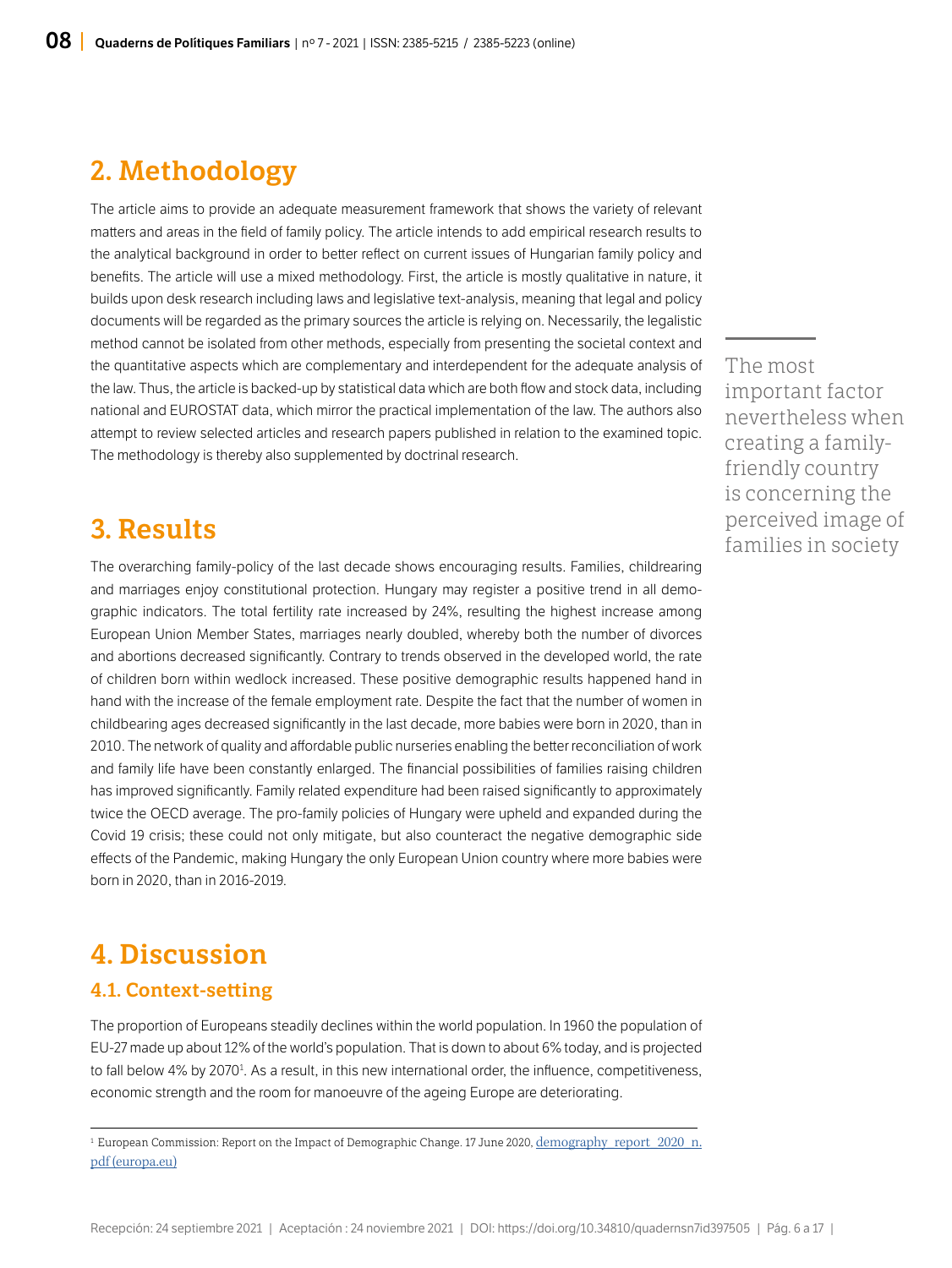# 2. Methodology

The article aims to provide an adequate measurement framework that shows the variety of relevant matters and areas in the field of family policy. The article intends to add empirical research results to the analytical background in order to better reflect on current issues of Hungarian family policy and benefits. The article will use a mixed methodology. First, the article is mostly qualitative in nature, it builds upon desk research including laws and legislative text-analysis, meaning that legal and policy documents will be regarded as the primary sources the article is relying on. Necessarily, the legalistic method cannot be isolated from other methods, especially from presenting the societal context and the quantitative aspects which are complementary and interdependent for the adequate analysis of the law. Thus, the article is backed-up by statistical data which are both flow and stock data, including national and EUROSTAT data, which mirror the practical implementation of the law. The authors also attempt to review selected articles and research papers published in relation to the examined topic. The methodology is thereby also supplemented by doctrinal research.

### 3. Results

The overarching family-policy of the last decade shows encouraging results. Families, childrearing and marriages enjoy constitutional protection. Hungary may register a positive trend in all demographic indicators. The total fertility rate increased by 24%, resulting the highest increase among European Union Member States, marriages nearly doubled, whereby both the number of divorces and abortions decreased significantly. Contrary to trends observed in the developed world, the rate of children born within wedlock increased. These positive demographic results happened hand in hand with the increase of the female employment rate. Despite the fact that the number of women in childbearing ages decreased significantly in the last decade, more babies were born in 2020, than in 2010. The network of quality and affordable public nurseries enabling the better reconciliation of work and family life have been constantly enlarged. The financial possibilities of families raising children has improved significantly. Family related expenditure had been raised significantly to approximately twice the OECD average. The pro-family policies of Hungary were upheld and expanded during the Covid 19 crisis; these could not only mitigate, but also counteract the negative demographic side effects of the Pandemic, making Hungary the only European Union country where more babies were born in 2020, than in 2016-2019.

# 4. Discussion

#### 4.1. Context-setting

The proportion of Europeans steadily declines within the world population. In 1960 the population of EU-27 made up about 12% of the world's population. That is down to about 6% today, and is projected to fall below 4% by 2070<sup>1</sup>. As a result, in this new international order, the influence, competitiveness, economic strength and the room for manoeuvre of the ageing Europe are deteriorating.

<sup>1</sup> European Commission: Report on the Impact of Demographic Change. 17 June 2020, [demography\\_report\\_2020\\_n.](https://ec.europa.eu/info/sites/default/files/demography_report_2020_n.pdf) [pdf \(europa.eu\)](https://ec.europa.eu/info/sites/default/files/demography_report_2020_n.pdf)

The most important factor nevertheless when creating a familyfriendly country is concerning the perceived image of families in society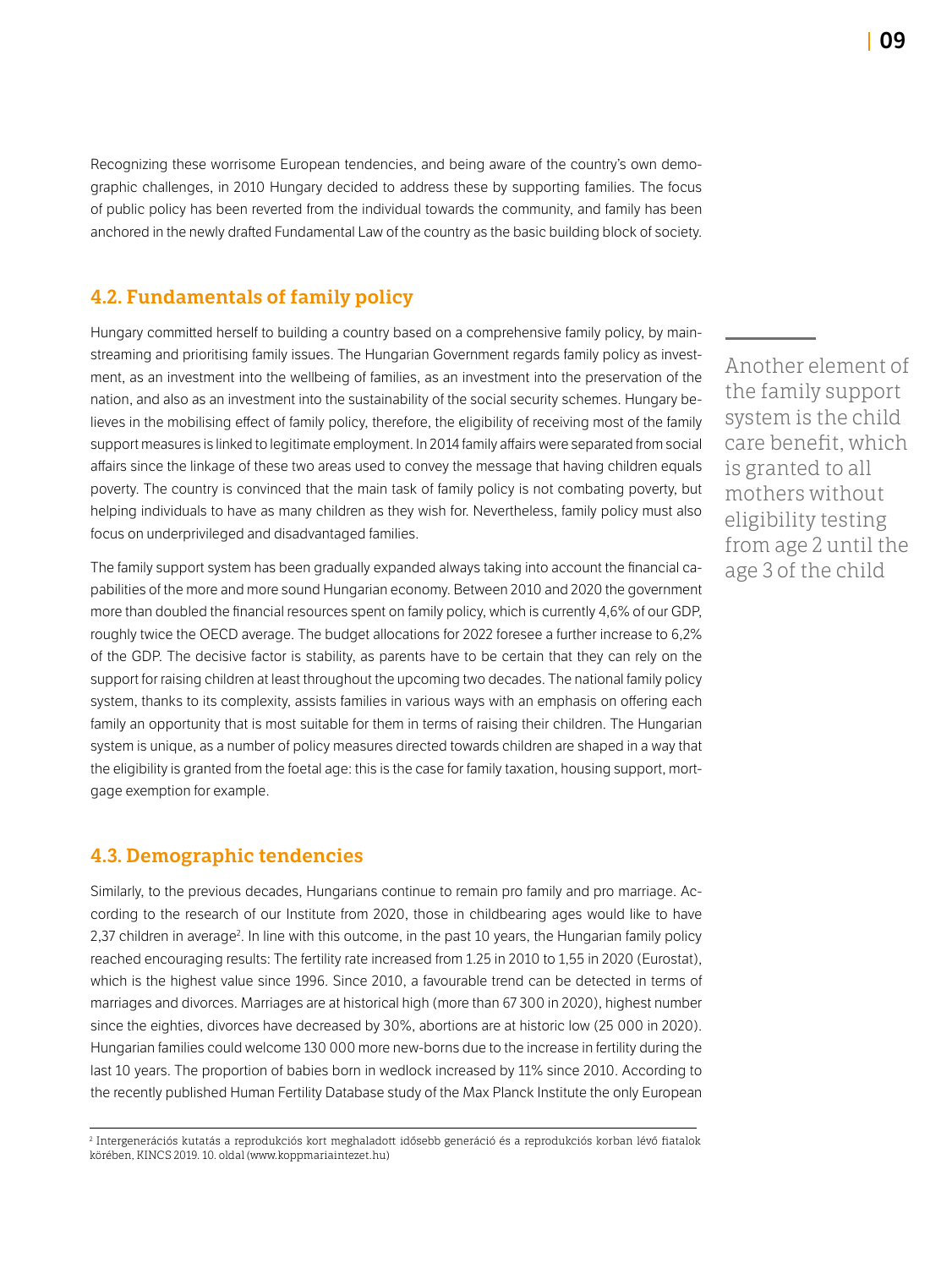Recognizing these worrisome European tendencies, and being aware of the country's own demographic challenges, in 2010 Hungary decided to address these by supporting families. The focus of public policy has been reverted from the individual towards the community, and family has been anchored in the newly drafted Fundamental Law of the country as the basic building block of society.

### 4.2. Fundamentals of family policy

Hungary committed herself to building a country based on a comprehensive family policy, by mainstreaming and prioritising family issues. The Hungarian Government regards family policy as investment, as an investment into the wellbeing of families, as an investment into the preservation of the nation, and also as an investment into the sustainability of the social security schemes. Hungary believes in the mobilising effect of family policy, therefore, the eligibility of receiving most of the family support measures is linked to legitimate employment. In 2014 family affairs were separated from social affairs since the linkage of these two areas used to convey the message that having children equals poverty. The country is convinced that the main task of family policy is not combating poverty, but helping individuals to have as many children as they wish for. Nevertheless, family policy must also focus on underprivileged and disadvantaged families.

The family support system has been gradually expanded always taking into account the financial capabilities of the more and more sound Hungarian economy. Between 2010 and 2020 the government more than doubled the financial resources spent on family policy, which is currently 4,6% of our GDP, roughly twice the OECD average. The budget allocations for 2022 foresee a further increase to 6,2% of the GDP. The decisive factor is stability, as parents have to be certain that they can rely on the support for raising children at least throughout the upcoming two decades. The national family policy system, thanks to its complexity, assists families in various ways with an emphasis on offering each family an opportunity that is most suitable for them in terms of raising their children. The Hungarian system is unique, as a number of policy measures directed towards children are shaped in a way that the eligibility is granted from the foetal age: this is the case for family taxation, housing support, mortgage exemption for example.

#### 4.3. Demographic tendencies

Similarly, to the previous decades, Hungarians continue to remain pro family and pro marriage. According to the research of our Institute from 2020, those in childbearing ages would like to have 2,37 children in average<sup>2</sup>. In line with this outcome, in the past 10 years, the Hungarian family policy reached encouraging results: The fertility rate increased from 1.25 in 2010 to 1,55 in 2020 (Eurostat), which is the highest value since 1996. Since 2010, a favourable trend can be detected in terms of marriages and divorces. Marriages are at historical high (more than 67 300 in 2020), highest number since the eighties, divorces have decreased by 30%, abortions are at historic low (25 000 in 2020). Hungarian families could welcome 130 000 more new-borns due to the increase in fertility during the last 10 years. The proportion of babies born in wedlock increased by 11% since 2010. According to the recently published Human Fertility Database study of the Max Planck Institute the only European Another element of the family support system is the child care benefit, which is granted to all mothers without eligibility testing from age 2 until the age 3 of the child

<sup>2</sup> Intergenerációs kutatás a reprodukciós kort meghaladott idősebb generáció és a reprodukciós korban lévő fiatalok körében, KINCS 2019. 10. oldal (www.koppmariaintezet.hu)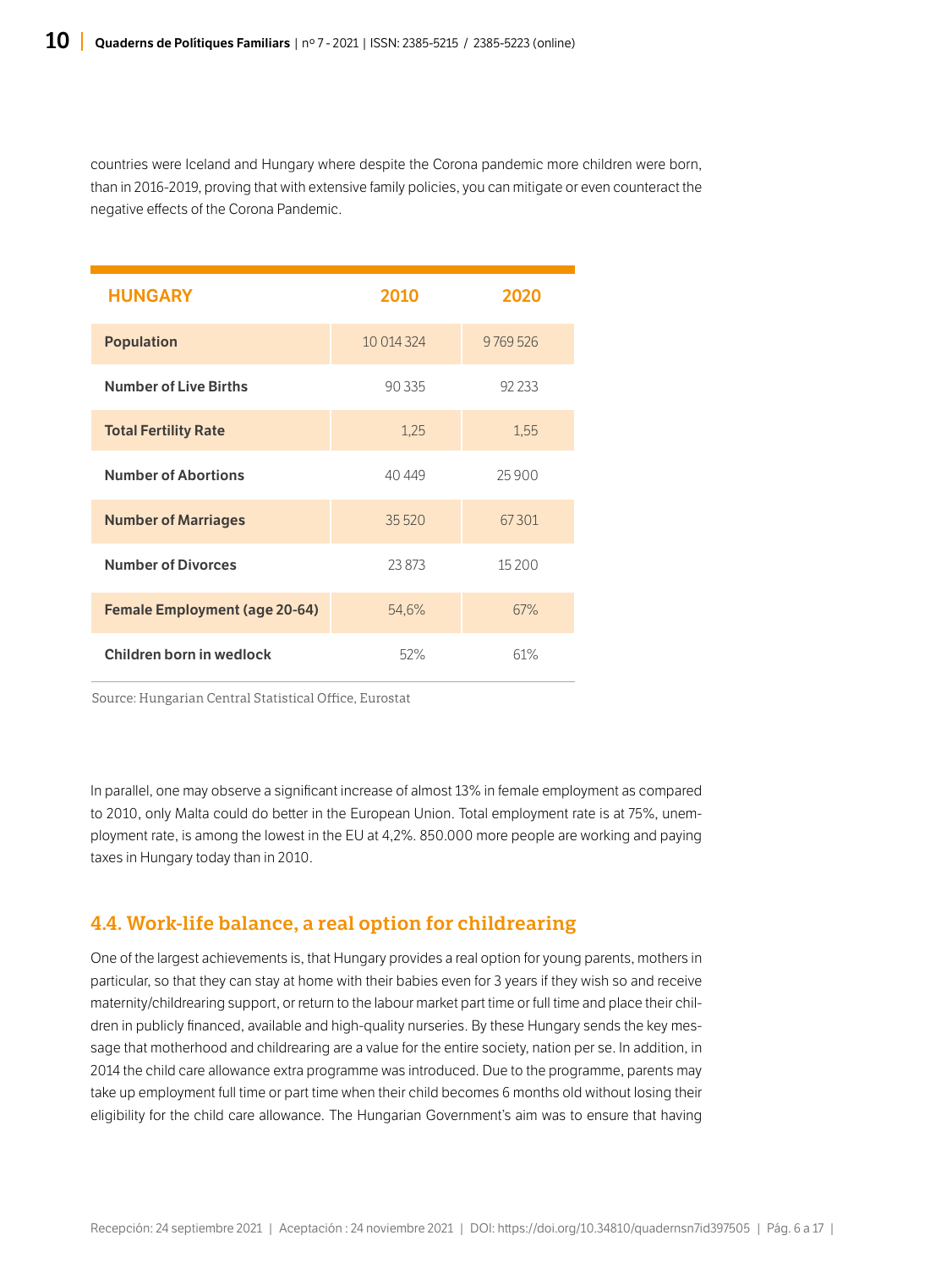countries were Iceland and Hungary where despite the Corona pandemic more children were born, than in 2016-2019, proving that with extensive family policies, you can mitigate or even counteract the negative effects of the Corona Pandemic.

| <b>HUNGARY</b>                       | 2010       | 2020     |
|--------------------------------------|------------|----------|
| <b>Population</b>                    | 10 014 324 | 9769526  |
| <b>Number of Live Births</b>         | 90 335     | 92 2 3 3 |
| <b>Total Fertility Rate</b>          | 1,25       | 1,55     |
| <b>Number of Abortions</b>           | 40 449     | 25900    |
| <b>Number of Marriages</b>           | 35 5 20    | 67301    |
| <b>Number of Divorces</b>            | 23873      | 15 200   |
| <b>Female Employment (age 20-64)</b> | 54,6%      | 67%      |
| Children born in wedlock             | 52%        | 61%      |

Source: Hungarian Central Statistical Office, Eurostat

In parallel, one may observe a significant increase of almost 13% in female employment as compared to 2010, only Malta could do better in the European Union. Total employment rate is at 75%, unemployment rate, is among the lowest in the EU at 4,2%. 850.000 more people are working and paying taxes in Hungary today than in 2010.

### 4.4. Work-life balance, a real option for childrearing

One of the largest achievements is, that Hungary provides a real option for young parents, mothers in particular, so that they can stay at home with their babies even for 3 years if they wish so and receive maternity/childrearing support, or return to the labour market part time or full time and place their children in publicly financed, available and high-quality nurseries. By these Hungary sends the key message that motherhood and childrearing are a value for the entire society, nation per se. In addition, in 2014 the child care allowance extra programme was introduced. Due to the programme, parents may take up employment full time or part time when their child becomes 6 months old without losing their eligibility for the child care allowance. The Hungarian Government's aim was to ensure that having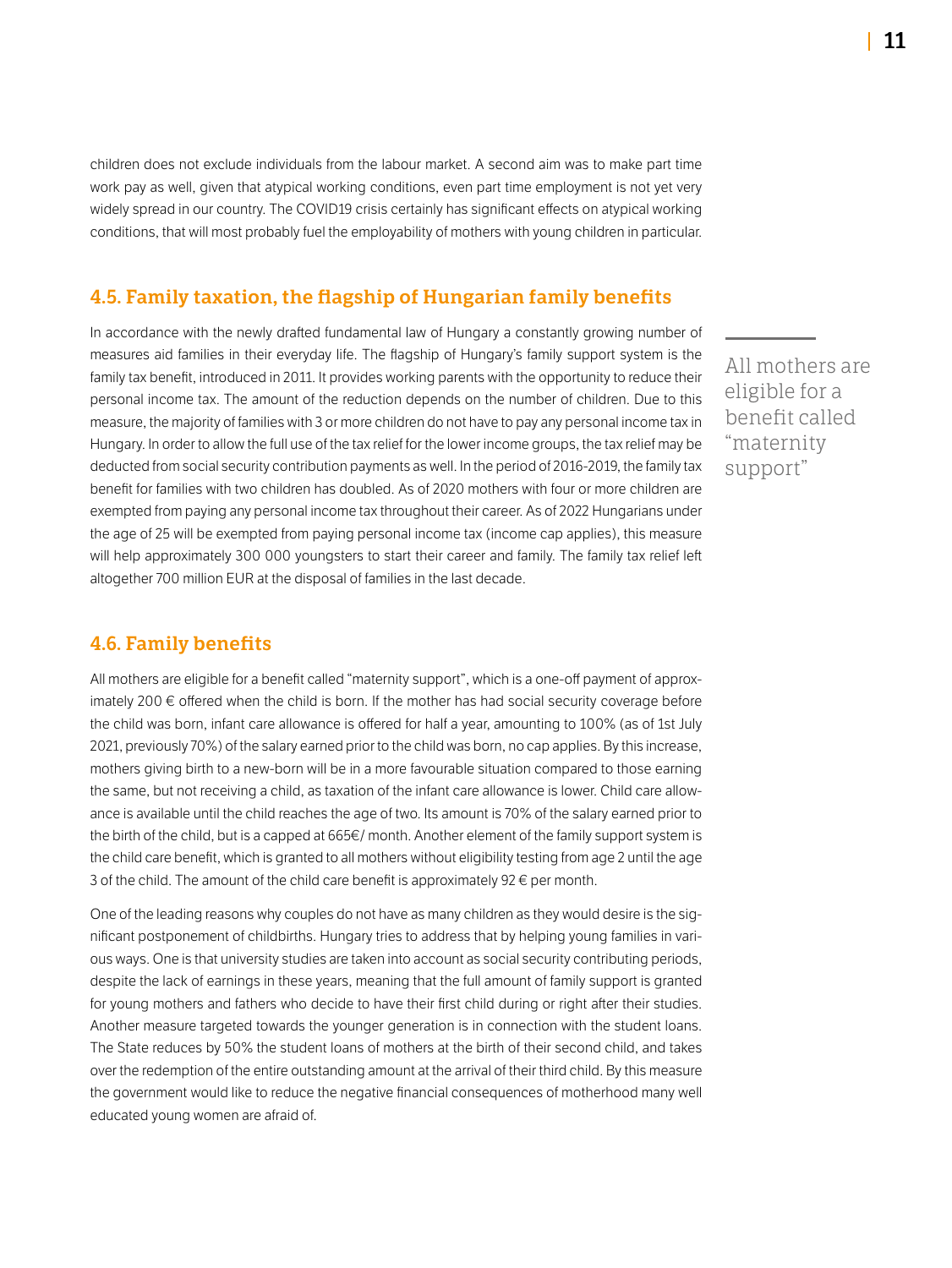children does not exclude individuals from the labour market. A second aim was to make part time work pay as well, given that atypical working conditions, even part time employment is not yet very widely spread in our country. The COVID19 crisis certainly has significant effects on atypical working conditions, that will most probably fuel the employability of mothers with young children in particular.

#### 4.5. Family taxation, the flagship of Hungarian family benefits

In accordance with the newly drafted fundamental law of Hungary a constantly growing number of measures aid families in their everyday life. The flagship of Hungary's family support system is the family tax benefit, introduced in 2011. It provides working parents with the opportunity to reduce their personal income tax. The amount of the reduction depends on the number of children. Due to this measure, the majority of families with 3 or more children do not have to pay any personal income tax in Hungary. In order to allow the full use of the tax relief for the lower income groups, the tax relief may be deducted from social security contribution payments as well. In the period of 2016-2019, the family tax benefit for families with two children has doubled. As of 2020 mothers with four or more children are exempted from paying any personal income tax throughout their career. As of 2022 Hungarians under the age of 25 will be exempted from paying personal income tax (income cap applies), this measure will help approximately 300 000 youngsters to start their career and family. The family tax relief left altogether 700 million EUR at the disposal of families in the last decade.

#### 4.6. Family benefits

All mothers are eligible for a benefit called "maternity support", which is a one-off payment of approximately 200 € offered when the child is born. If the mother has had social security coverage before the child was born, infant care allowance is offered for half a year, amounting to 100% (as of 1st July 2021, previously 70%) of the salary earned prior to the child was born, no cap applies. By this increase, mothers giving birth to a new-born will be in a more favourable situation compared to those earning the same, but not receiving a child, as taxation of the infant care allowance is lower. Child care allowance is available until the child reaches the age of two. Its amount is 70% of the salary earned prior to the birth of the child, but is a capped at 665€/ month. Another element of the family support system is the child care benefit, which is granted to all mothers without eligibility testing from age 2 until the age 3 of the child. The amount of the child care benefit is approximately 92 $\epsilon$  per month.

One of the leading reasons why couples do not have as many children as they would desire is the significant postponement of childbirths. Hungary tries to address that by helping young families in various ways. One is that university studies are taken into account as social security contributing periods, despite the lack of earnings in these years, meaning that the full amount of family support is granted for young mothers and fathers who decide to have their first child during or right after their studies. Another measure targeted towards the younger generation is in connection with the student loans. The State reduces by 50% the student loans of mothers at the birth of their second child, and takes over the redemption of the entire outstanding amount at the arrival of their third child. By this measure the government would like to reduce the negative financial consequences of motherhood many well educated young women are afraid of.

All mothers are eligible for a benefit called "maternity support"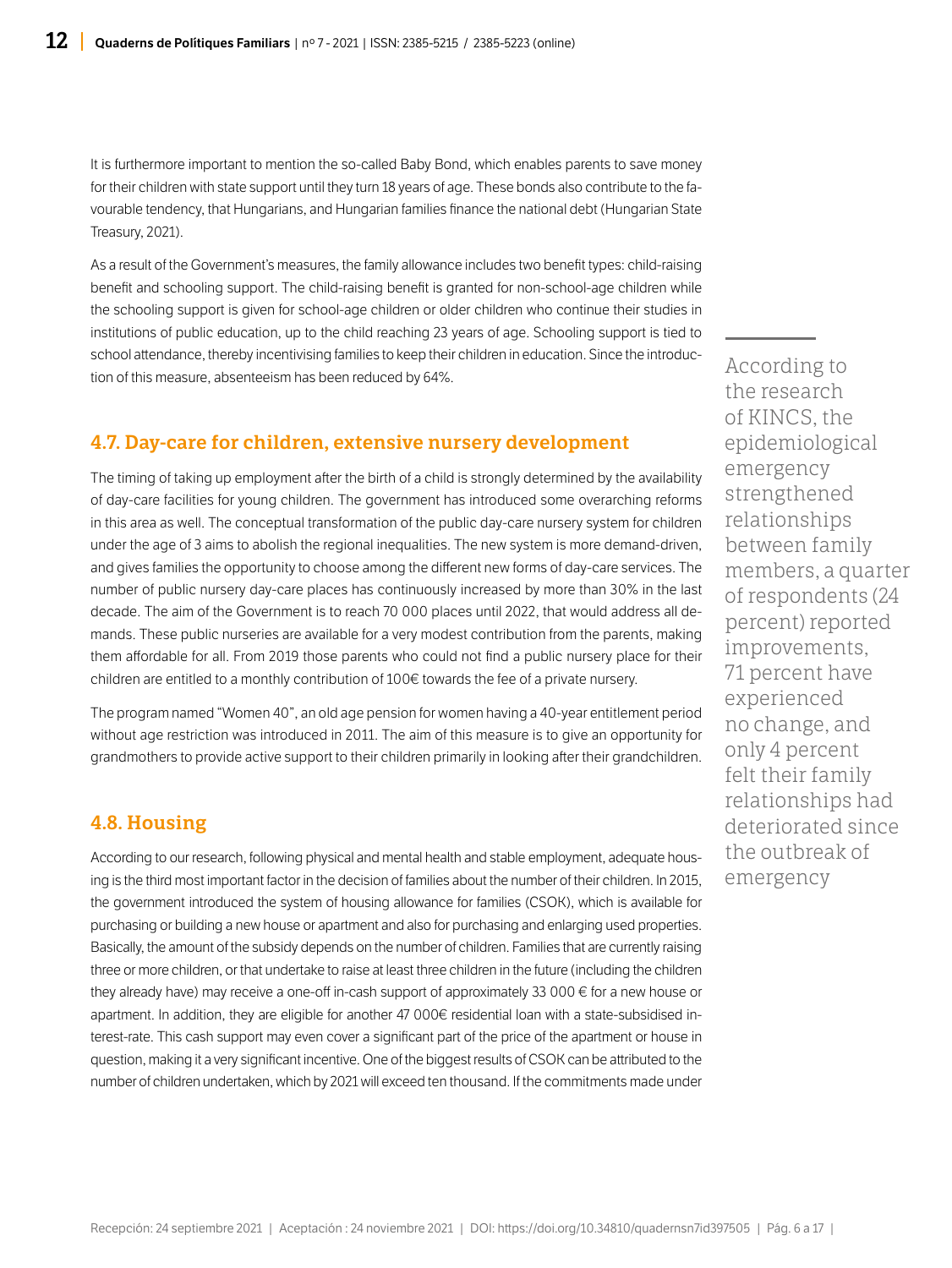It is furthermore important to mention the so-called Baby Bond, which enables parents to save money for their children with state support until they turn 18 years of age. These bonds also contribute to the favourable tendency, that Hungarians, and Hungarian families finance the national debt (Hungarian State Treasury, 2021).

As a result of the Government's measures, the family allowance includes two benefit types: child-raising benefit and schooling support. The child-raising benefit is granted for non-school-age children while the schooling support is given for school-age children or older children who continue their studies in institutions of public education, up to the child reaching 23 years of age. Schooling support is tied to school attendance, thereby incentivising families to keep their children in education. Since the introduction of this measure, absenteeism has been reduced by 64%.

#### 4.7. Day-care for children, extensive nursery development

The timing of taking up employment after the birth of a child is strongly determined by the availability of day-care facilities for young children. The government has introduced some overarching reforms in this area as well. The conceptual transformation of the public day-care nursery system for children under the age of 3 aims to abolish the regional inequalities. The new system is more demand-driven, and gives families the opportunity to choose among the different new forms of day-care services. The number of public nursery day-care places has continuously increased by more than 30% in the last decade. The aim of the Government is to reach 70 000 places until 2022, that would address all demands. These public nurseries are available for a very modest contribution from the parents, making them affordable for all. From 2019 those parents who could not find a public nursery place for their children are entitled to a monthly contribution of 100€ towards the fee of a private nursery.

The program named "Women 40", an old age pension for women having a 40-year entitlement period without age restriction was introduced in 2011. The aim of this measure is to give an opportunity for grandmothers to provide active support to their children primarily in looking after their grandchildren.

#### 4.8. Housing

According to our research, following physical and mental health and stable employment, adequate housing is the third most important factor in the decision of families about the number of their children. In 2015, the government introduced the system of housing allowance for families (CSOK), which is available for purchasing or building a new house or apartment and also for purchasing and enlarging used properties. Basically, the amount of the subsidy depends on the number of children. Families that are currently raising three or more children, or that undertake to raise at least three children in the future (including the children they already have) may receive a one-off in-cash support of approximately 33 000 € for a new house or apartment. In addition, they are eligible for another 47 000€ residential loan with a state-subsidised interest-rate. This cash support may even cover a significant part of the price of the apartment or house in question, making it a very significant incentive. One of the biggest results of CSOK can be attributed to the number of children undertaken, which by 2021 will exceed ten thousand. If the commitments made under

According to the research of KINCS, the epidemiological emergency strengthened relationships between family members, a quarter of respondents (24 percent) reported improvements, 71 percent have experienced no change, and only 4 percent felt their family relationships had deteriorated since the outbreak of emergency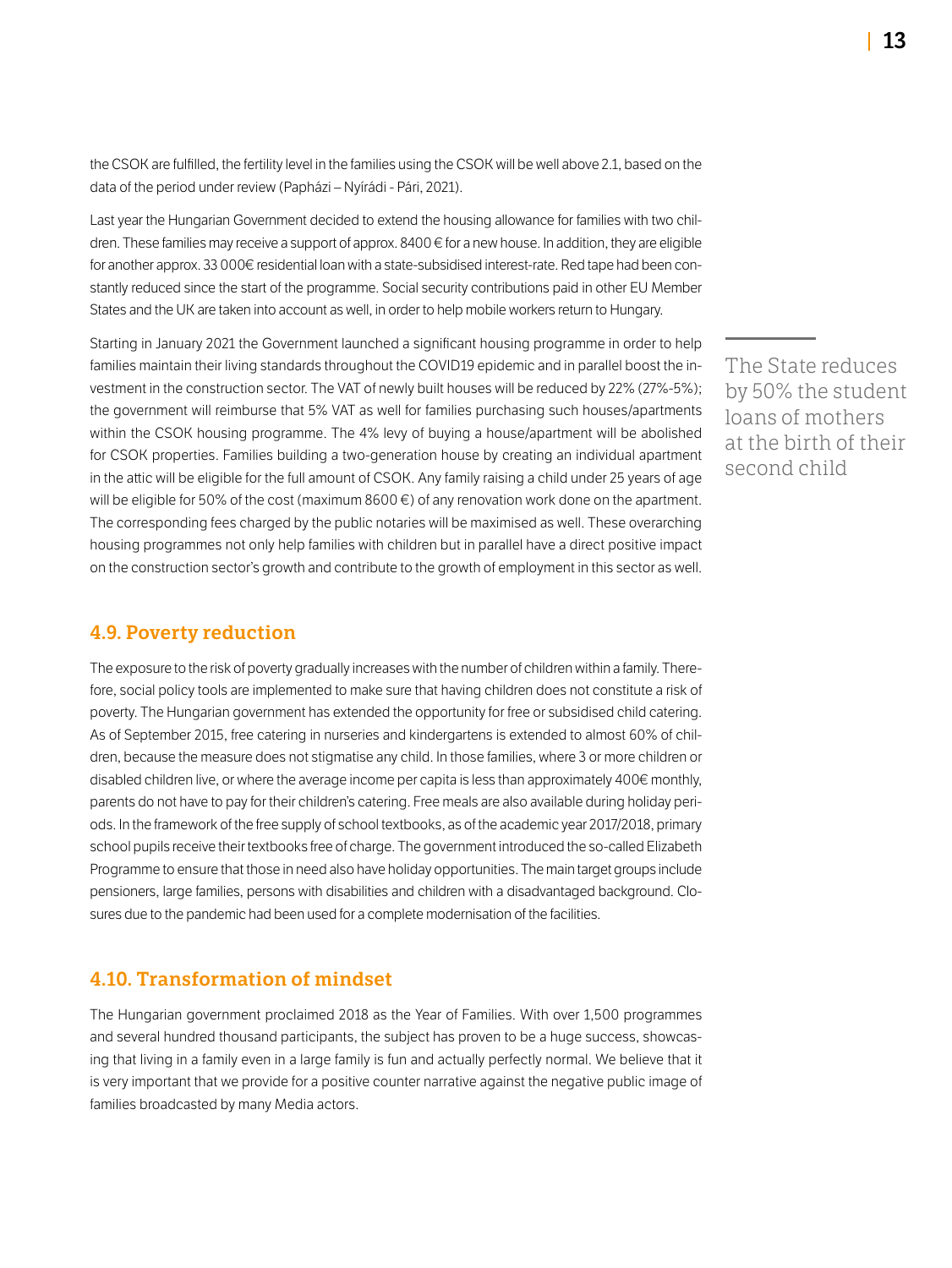the CSOK are fulfilled, the fertility level in the families using the CSOK will be well above 2.1, based on the data of the period under review (Papházi – Nyírádi - Pári, 2021).

Last year the Hungarian Government decided to extend the housing allowance for families with two children. These families may receive a support of approx. 8400 € for a new house. In addition, they are eligible for another approx. 33 000€ residential loan with a state-subsidised interest-rate. Red tape had been constantly reduced since the start of the programme. Social security contributions paid in other EU Member States and the UK are taken into account as well, in order to help mobile workers return to Hungary.

Starting in January 2021 the Government launched a significant housing programme in order to help families maintain their living standards throughout the COVID19 epidemic and in parallel boost the investment in the construction sector. The VAT of newly built houses will be reduced by 22% (27%-5%); the government will reimburse that 5% VAT as well for families purchasing such houses/apartments within the CSOK housing programme. The 4% levy of buying a house/apartment will be abolished for CSOK properties. Families building a two-generation house by creating an individual apartment in the attic will be eligible for the full amount of CSOK. Any family raising a child under 25 years of age will be eligible for 50% of the cost (maximum 8600  $\epsilon$ ) of any renovation work done on the apartment. The corresponding fees charged by the public notaries will be maximised as well. These overarching housing programmes not only help families with children but in parallel have a direct positive impact on the construction sector's growth and contribute to the growth of employment in this sector as well.

#### 4.9. Poverty reduction

The exposure to the risk of poverty gradually increases with the number of children within a family. Therefore, social policy tools are implemented to make sure that having children does not constitute a risk of poverty. The Hungarian government has extended the opportunity for free or subsidised child catering. As of September 2015, free catering in nurseries and kindergartens is extended to almost 60% of children, because the measure does not stigmatise any child. In those families, where 3 or more children or disabled children live, or where the average income per capita is less than approximately 400€ monthly, parents do not have to pay for their children's catering. Free meals are also available during holiday periods. In the framework of the free supply of school textbooks, as of the academic year 2017/2018, primary school pupils receive their textbooks free of charge. The government introduced the so-called Elizabeth Programme to ensure that those in need also have holiday opportunities. The main target groups include pensioners, large families, persons with disabilities and children with a disadvantaged background. Closures due to the pandemic had been used for a complete modernisation of the facilities.

#### 4.10. Transformation of mindset

The Hungarian government proclaimed 2018 as the Year of Families. With over 1,500 programmes and several hundred thousand participants, the subject has proven to be a huge success, showcasing that living in a family even in a large family is fun and actually perfectly normal. We believe that it is very important that we provide for a positive counter narrative against the negative public image of families broadcasted by many Media actors.

The State reduces by 50% the student loans of mothers at the birth of their second child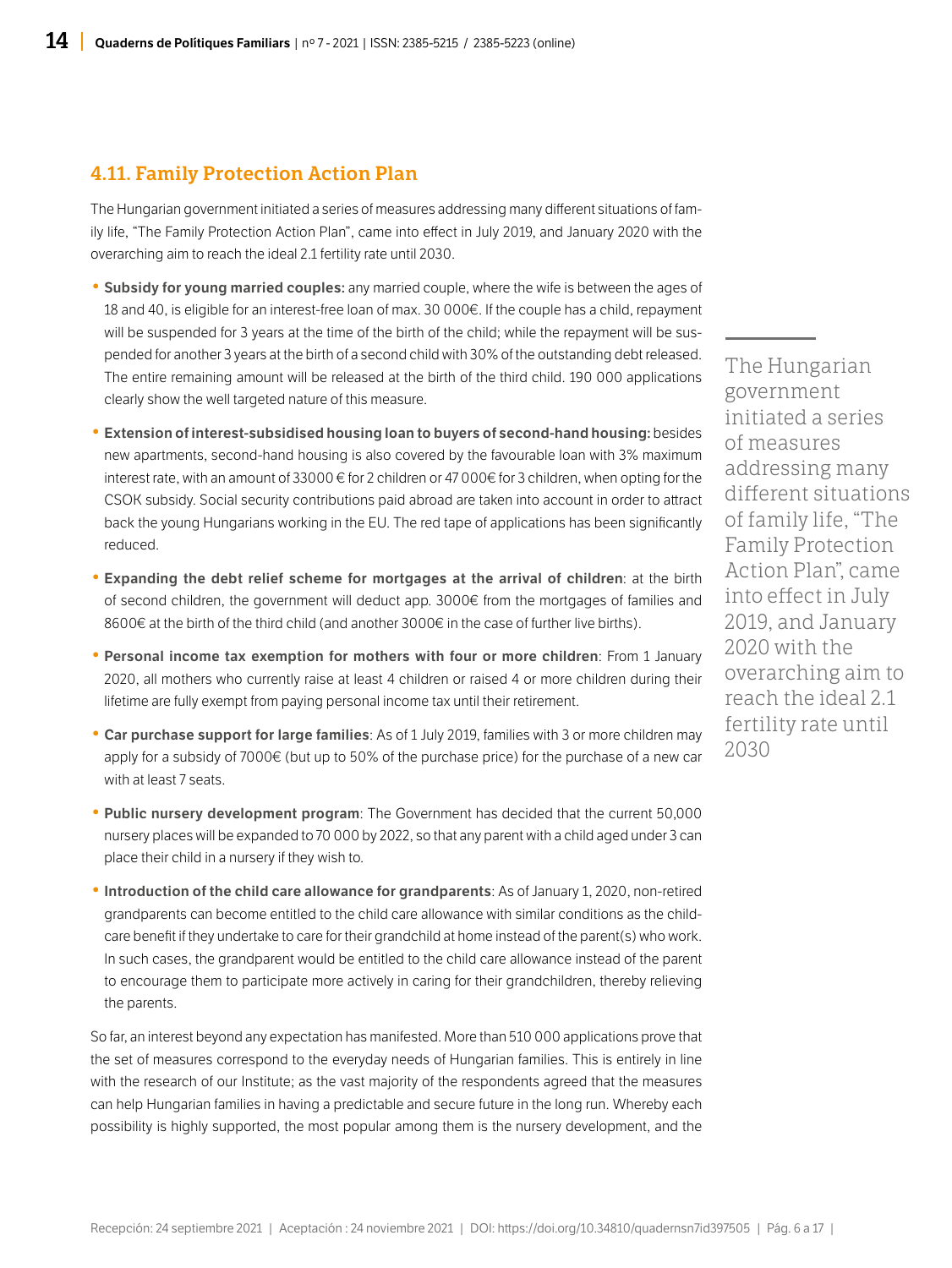#### 4.11. Family Protection Action Plan

The Hungarian government initiated a series of measures addressing many different situations of family life, "The Family Protection Action Plan", came into effect in July 2019, and January 2020 with the overarching aim to reach the ideal 2.1 fertility rate until 2030.

- Subsidy for young married couples: any married couple, where the wife is between the ages of 18 and 40, is eligible for an interest-free loan of max. 30 000€. If the couple has a child, repayment will be suspended for 3 years at the time of the birth of the child; while the repayment will be suspended for another 3 years at the birth of a second child with 30% of the outstanding debt released. The entire remaining amount will be released at the birth of the third child. 190 000 applications clearly show the well targeted nature of this measure.
- Extension of interest-subsidised housing loan to buyers of second-hand housing: besides new apartments, second-hand housing is also covered by the favourable loan with 3% maximum interest rate, with an amount of 33000 € for 2 children or 47 000€ for 3 children, when opting for the CSOK subsidy. Social security contributions paid abroad are taken into account in order to attract back the young Hungarians working in the EU. The red tape of applications has been significantly reduced.
- Expanding the debt relief scheme for mortgages at the arrival of children: at the birth of second children, the government will deduct app. 3000€ from the mortgages of families and 8600€ at the birth of the third child (and another 3000€ in the case of further live births).
- Personal income tax exemption for mothers with four or more children: From 1 January 2020, all mothers who currently raise at least 4 children or raised 4 or more children during their lifetime are fully exempt from paying personal income tax until their retirement.
- Car purchase support for large families: As of 1 July 2019, families with 3 or more children may apply for a subsidy of 7000€ (but up to 50% of the purchase price) for the purchase of a new car with at least 7 seats.
- Public nursery development program: The Government has decided that the current 50,000 nursery places will be expanded to 70 000 by 2022, so that any parent with a child aged under 3 can place their child in a nursery if they wish to.
- Introduction of the child care allowance for grandparents: As of January 1, 2020, non-retired grandparents can become entitled to the child care allowance with similar conditions as the childcare benefit if they undertake to care for their grandchild at home instead of the parent(s) who work. In such cases, the grandparent would be entitled to the child care allowance instead of the parent to encourage them to participate more actively in caring for their grandchildren, thereby relieving the parents.

So far, an interest beyond any expectation has manifested. More than 510 000 applications prove that the set of measures correspond to the everyday needs of Hungarian families. This is entirely in line with the research of our Institute; as the vast majority of the respondents agreed that the measures can help Hungarian families in having a predictable and secure future in the long run. Whereby each possibility is highly supported, the most popular among them is the nursery development, and the

The Hungarian government initiated a series of measures addressing many different situations of family life, "The Family Protection Action Plan", came into effect in July 2019, and January 2020 with the overarching aim to reach the ideal 2.1 fertility rate until 2030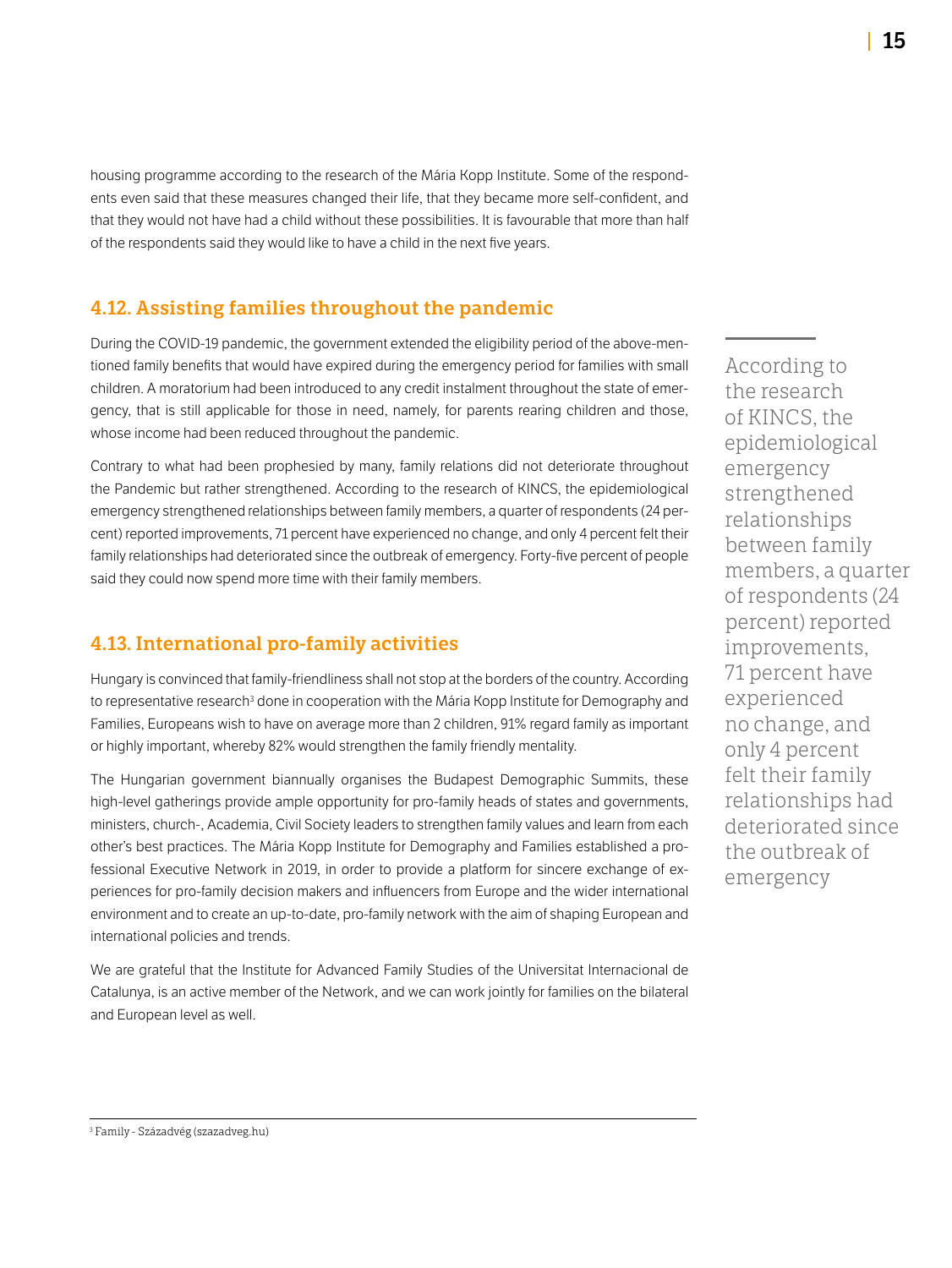housing programme according to the research of the Mária Kopp Institute. Some of the respondents even said that these measures changed their life, that they became more self-confident, and that they would not have had a child without these possibilities. It is favourable that more than half of the respondents said they would like to have a child in the next five years.

### 4.12. Assisting families throughout the pandemic

During the COVID-19 pandemic, the government extended the eligibility period of the above-mentioned family benefits that would have expired during the emergency period for families with small children. A moratorium had been introduced to any credit instalment throughout the state of emergency, that is still applicable for those in need, namely, for parents rearing children and those, whose income had been reduced throughout the pandemic.

Contrary to what had been prophesied by many, family relations did not deteriorate throughout the Pandemic but rather strengthened. According to the research of KINCS, the epidemiological emergency strengthened relationships between family members, a quarter of respondents (24 percent) reported improvements, 71 percent have experienced no change, and only 4 percent felt their family relationships had deteriorated since the outbreak of emergency. Forty-five percent of people said they could now spend more time with their family members.

### 4.13. International pro-family activities

Hungary is convinced that family-friendliness shall not stop at the borders of the country. According to representative research<sup>3</sup> done in cooperation with the Mária Kopp Institute for Demography and Families, Europeans wish to have on average more than 2 children, 91% regard family as important or highly important, whereby 82% would strengthen the family friendly mentality.

The Hungarian government biannually organises the Budapest Demographic Summits, these high-level gatherings provide ample opportunity for pro-family heads of states and governments, ministers, church-, Academia, Civil Society leaders to strengthen family values and learn from each other's best practices. The Mária Kopp Institute for Demography and Families established a professional Executive Network in 2019, in order to provide a platform for sincere exchange of experiences for pro-family decision makers and influencers from Europe and the wider international environment and to create an up-to-date, pro-family network with the aim of shaping European and international policies and trends.

We are grateful that the Institute for Advanced Family Studies of the Universitat Internacional de Catalunya, is an active member of the Network, and we can work jointly for families on the bilateral and European level as well.

According to the research of KINCS, the epidemiological emergency strengthened relationships between family members, a quarter of respondents (24 percent) reported improvements, 71 percent have experienced no change, and only 4 percent felt their family relationships had deteriorated since the outbreak of emergency

<sup>3</sup> Family - Századvég (szazadveg.hu)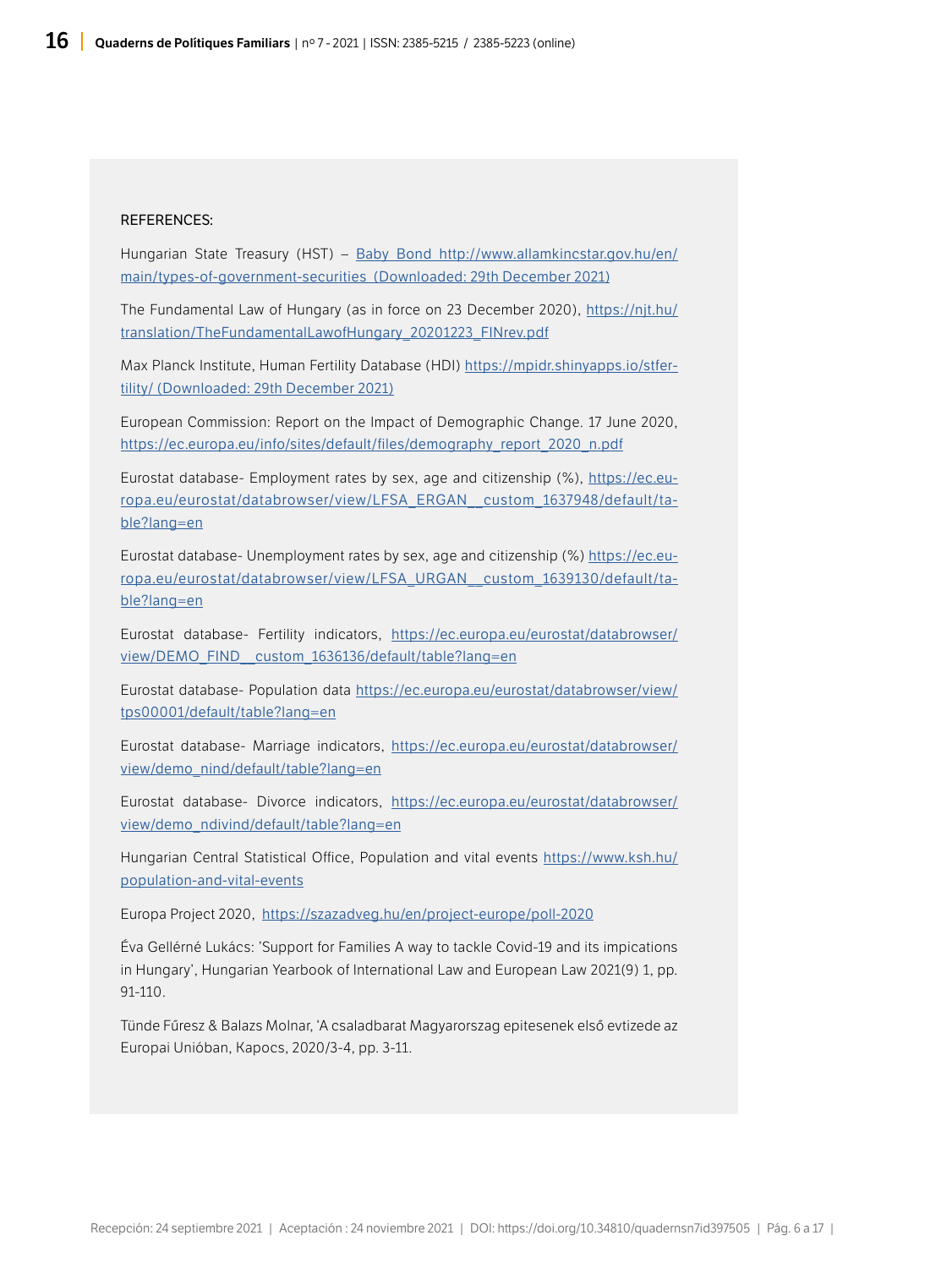#### REFERENCES:

Hungarian State Treasury (HST) – [Baby Bond http://www.allamkincstar.gov.hu/en/](http://www.allamkincstar.gov.hu/en/main/types-of-government-securities  (Downloaded: 29th December 2021)) [main/types-of-government-securities \(Downloaded: 29th December 2021\)](http://www.allamkincstar.gov.hu/en/main/types-of-government-securities  (Downloaded: 29th December 2021))

The Fundamental Law of Hungary (as in force on 23 December 2020), [https://njt.hu/](https://mpidr.shinyapps.io/stfertility/) [translation/TheFundamentalLawofHungary\\_20201223\\_FINrev.pdf](https://mpidr.shinyapps.io/stfertility/)

Max Planck Institute, Human Fertility Database (HDI) [https://mpidr.shinyapps.io/stfer](https://mpidr.shinyapps.io/stfertility/)[tility/ \(Downloaded: 29th December 2021\)](https://mpidr.shinyapps.io/stfertility/)

European Commission: Report on the Impact of Demographic Change. 17 June 2020, [https://ec.europa.eu/info/sites/default/files/demography\\_report\\_2020\\_n.pdf](https://ec.europa.eu/info/sites/default/files/demography_report_2020_n.pdf)

Eurostat database- Employment rates by sex, age and citizenship (%), [https://ec.eu](https://ec.europa.eu/eurostat/databrowser/view/LFSA_ERGAN__custom_1637948/default/table?lang=en)[ropa.eu/eurostat/databrowser/view/LFSA\\_ERGAN\\_\\_custom\\_1637948/default/ta](https://ec.europa.eu/eurostat/databrowser/view/LFSA_ERGAN__custom_1637948/default/table?lang=en)[ble?lang=en](https://ec.europa.eu/eurostat/databrowser/view/LFSA_ERGAN__custom_1637948/default/table?lang=en)

Eurostat database- Unemployment rates by sex, age and citizenship (%) [https://ec.eu](https://ec.europa.eu/eurostat/databrowser/view/LFSA_URGAN__custom_1639130/default/table?lang=en)[ropa.eu/eurostat/databrowser/view/LFSA\\_URGAN\\_\\_custom\\_1639130/default/ta](https://ec.europa.eu/eurostat/databrowser/view/LFSA_URGAN__custom_1639130/default/table?lang=en)[ble?lang=en](https://ec.europa.eu/eurostat/databrowser/view/LFSA_URGAN__custom_1639130/default/table?lang=en)

Eurostat database- Fertility indicators, [https://ec.europa.eu/eurostat/databrowser/](https://ec.europa.eu/eurostat/databrowser/view/DEMO_FIND__custom_1636136/default/table?lang=en) [view/DEMO\\_FIND\\_\\_custom\\_1636136/default/table?lang=en](https://ec.europa.eu/eurostat/databrowser/view/DEMO_FIND__custom_1636136/default/table?lang=en)

Eurostat database- Population data [https://ec.europa.eu/eurostat/databrowser/view/](https://ec.europa.eu/eurostat/databrowser/view/tps00001/default/table?lang=en) [tps00001/default/table?lang=en](https://ec.europa.eu/eurostat/databrowser/view/tps00001/default/table?lang=en)

Eurostat database- Marriage indicators, [https://ec.europa.eu/eurostat/databrowser/](https://ec.europa.eu/eurostat/databrowser/view/demo_nind/default/table?lang=en) [view/demo\\_nind/default/table?lang=en](https://ec.europa.eu/eurostat/databrowser/view/demo_nind/default/table?lang=en)

Eurostat database- Divorce indicators, [https://ec.europa.eu/eurostat/databrowser/](https://ec.europa.eu/eurostat/databrowser/view/demo_ndivind/default/table?lang=en) [view/demo\\_ndivind/default/table?lang=en](https://ec.europa.eu/eurostat/databrowser/view/demo_ndivind/default/table?lang=en)

Hungarian Central Statistical Office, Population and vital events [https://www.ksh.hu/](https://www.ksh.hu/population-and-vital-events) [population-and-vital-events](https://www.ksh.hu/population-and-vital-events)

Europa Project 2020, <https://szazadveg.hu/en/project-europe/poll-2020>

Éva Gellérné Lukács: 'Support for Families A way to tackle Covid-19 and its impications in Hungary', Hungarian Yearbook of International Law and European Law 2021(9) 1, pp. 91-110.

Tünde Fűresz & Balazs Molnar, 'A csaladbarat Magyarorszag epitesenek első evtizede az Europai Unióban, Kapocs, 2020/3-4, pp. 3-11.